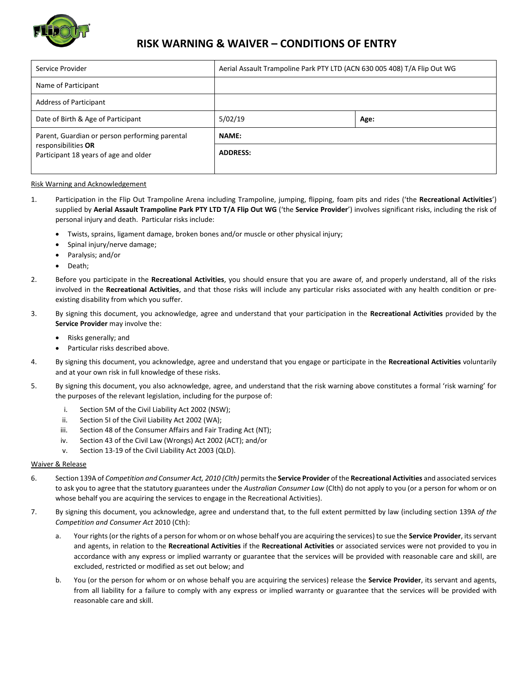

## **RISK WARNING & WAIVER – CONDITIONS OF ENTRY**

| Service Provider                                                                                               | Aerial Assault Trampoline Park PTY LTD (ACN 630 005 408) T/A Flip Out WG |      |
|----------------------------------------------------------------------------------------------------------------|--------------------------------------------------------------------------|------|
| Name of Participant                                                                                            |                                                                          |      |
| <b>Address of Participant</b>                                                                                  |                                                                          |      |
| Date of Birth & Age of Participant                                                                             | 5/02/19                                                                  | Age: |
| Parent, Guardian or person performing parental<br>responsibilities OR<br>Participant 18 years of age and older | <b>NAME:</b>                                                             |      |
|                                                                                                                | <b>ADDRESS:</b>                                                          |      |
|                                                                                                                |                                                                          |      |

## Risk Warning and Acknowledgement

- 1. Participation in the Flip Out Trampoline Arena including Trampoline, jumping, flipping, foam pits and rides ('the **Recreational Activities**') supplied by **Aerial Assault Trampoline Park PTY LTD T/A Flip Out WG** ('the **Service Provider**') involves significant risks, including the risk of personal injury and death. Particular risks include:
	- Twists, sprains, ligament damage, broken bones and/or muscle or other physical injury;
	- Spinal injury/nerve damage;
	- Paralysis; and/or
	- Death;
- 2. Before you participate in the **Recreational Activities**, you should ensure that you are aware of, and properly understand, all of the risks involved in the **Recreational Activities**, and that those risks will include any particular risks associated with any health condition or preexisting disability from which you suffer.
- 3. By signing this document, you acknowledge, agree and understand that your participation in the **Recreational Activities** provided by the **Service Provider** may involve the:
	- Risks generally; and
	- Particular risks described above.
- 4. By signing this document, you acknowledge, agree and understand that you engage or participate in the **Recreational Activities** voluntarily and at your own risk in full knowledge of these risks.
- 5. By signing this document, you also acknowledge, agree, and understand that the risk warning above constitutes a formal 'risk warning' for the purposes of the relevant legislation, including for the purpose of:
	- i. Section 5M of the Civil Liability Act 2002 (NSW);
	- ii. Section 5I of the Civil Liability Act 2002 (WA);
	- iii. Section 48 of the Consumer Affairs and Fair Trading Act (NT);
	- iv. Section 43 of the Civil Law (Wrongs) Act 2002 (ACT); and/or
	- v. Section 13-19 of the Civil Liability Act 2003 (QLD).

## Waiver & Release

- 6. Section 139A of *Competition and Consumer Act, 2010 (Clth)* permits the **Service Provider** of the **Recreational Activities** and associated services to ask you to agree that the statutory guarantees under the *Australian Consumer Law* (Clth) do not apply to you (or a person for whom or on whose behalf you are acquiring the services to engage in the Recreational Activities).
- 7. By signing this document, you acknowledge, agree and understand that, to the full extent permitted by law (including section 139A *of the Competition and Consumer Act* 2010 (Cth):
	- a. Your rights (or the rights of a person for whom or on whose behalf you are acquiring the services) to sue the **Service Provider**, its servant and agents, in relation to the **Recreational Activities** if the **Recreational Activities** or associated services were not provided to you in accordance with any express or implied warranty or guarantee that the services will be provided with reasonable care and skill, are excluded, restricted or modified as set out below; and
	- b. You (or the person for whom or on whose behalf you are acquiring the services) release the **Service Provider**, its servant and agents, from all liability for a failure to comply with any express or implied warranty or guarantee that the services will be provided with reasonable care and skill.